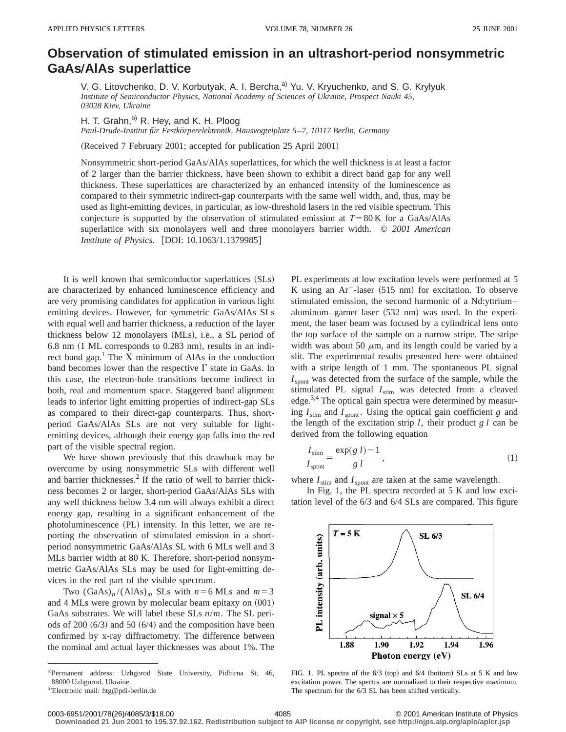## **Observation of stimulated emission in an ultrashort-period nonsymmetric GaAsÕAlAs superlattice**

V. G. Litovchenko, D. V. Korbutyak, A. I. Bercha,<sup>a)</sup> Yu. V. Kryuchenko, and S. G. Krylyuk *Institute of Semiconductor Physics, National Academy of Sciences of Ukraine, Prospect Nauki 45, 03028 Kiev, Ukraine*

H. T. Grahn, $^{b)}$  R. Hey, and K. H. Ploog

*Paul-Drude-Institut fu¨r Festko¨rperelektronik, Hausvogteiplatz 5*–*7, 10117 Berlin, Germany*

(Received 7 February 2001; accepted for publication 25 April 2001)

Nonsymmetric short-period GaAs/AlAs superlattices, for which the well thickness is at least a factor of 2 larger than the barrier thickness, have been shown to exhibit a direct band gap for any well thickness. These superlattices are characterized by an enhanced intensity of the luminescence as compared to their symmetric indirect-gap counterparts with the same well width, and, thus, may be used as light-emitting devices, in particular, as low-threshold lasers in the red visible spectrum. This conjecture is supported by the observation of stimulated emission at  $T=80$  K for a GaAs/AlAs superlattice with six monolayers well and three monolayers barrier width. © *2001 American Institute of Physics.* [DOI: 10.1063/1.1379985]

It is well known that semiconductor superlattices (SLs) are characterized by enhanced luminescence efficiency and are very promising candidates for application in various light emitting devices. However, for symmetric GaAs/AlAs SLs with equal well and barrier thickness, a reduction of the layer thickness below 12 monolayers (MLs), i.e., a SL period of  $6.8$  nm  $(1 \text{ ML corresponds to } 0.283 \text{ nm})$ , results in an indirect band gap. $<sup>1</sup>$  The X minimum of AlAs in the conduction</sup> band becomes lower than the respective  $\Gamma$  state in GaAs. In this case, the electron-hole transitions become indirect in both, real and momentum space. Staggered band alignment leads to inferior light emitting properties of indirect-gap SLs as compared to their direct-gap counterparts. Thus, shortperiod GaAs/AlAs SLs are not very suitable for lightemitting devices, although their energy gap falls into the red part of the visible spectral region.

We have shown previously that this drawback may be overcome by using nonsymmetric SLs with different well and barrier thicknesses.<sup>2</sup> If the ratio of well to barrier thickness becomes 2 or larger, short-period GaAs/AlAs SLs with any well thickness below 3.4 nm will always exhibit a direct energy gap, resulting in a significant enhancement of the photoluminescence (PL) intensity. In this letter, we are reporting the observation of stimulated emission in a shortperiod nonsymmetric GaAs/AlAs SL with 6 MLs well and 3 MLs barrier width at 80 K. Therefore, short-period nonsymmetric GaAs/AlAs SLs may be used for light-emitting devices in the red part of the visible spectrum.

Two  $(GaAs)<sub>n</sub> / (AlAs)<sub>m</sub>$  SLs with  $n=6$  MLs and  $m=3$ and  $4$  MLs were grown by molecular beam epitaxy on  $(001)$ GaAs substrates. We will label these SLs *n*/*m*. The SL periods of  $200~(6/3)$  and  $50~(6/4)$  and the composition have been confirmed by x-ray diffractometry. The difference between the nominal and actual layer thicknesses was about 1%. The PL experiments at low excitation levels were performed at 5 K using an  $Ar^+$ -laser (515 nm) for excitation. To observe stimulated emission, the second harmonic of a Nd:yttrium– aluminum–garnet laser  $(532 \text{ nm})$  was used. In the experiment, the laser beam was focused by a cylindrical lens onto the top surface of the sample on a narrow stripe. The stripe width was about 50  $\mu$ m, and its length could be varied by a slit. The experimental results presented here were obtained with a stripe length of 1 mm. The spontaneous PL signal  $I<sub>front</sub>$  was detected from the surface of the sample, while the stimulated PL signal  $I_{\text{stim}}$  was detected from a cleaved edge.<sup>3,4</sup> The optical gain spectra were determined by measuring  $I_{\text{stim}}$  and  $I_{\text{spont}}$ . Using the optical gain coefficient *g* and the length of the excitation strip *l*, their product *g l* can be derived from the following equation

$$
\frac{I_{\text{stim}}}{I_{\text{spont}}} = \frac{\exp(g \ l) - 1}{g \ l},\tag{1}
$$

where  $I_{\text{stim}}$  and  $I_{\text{spont}}$  are taken at the same wavelength.

In Fig. 1, the PL spectra recorded at 5 K and low excitation level of the 6/3 and 6/4 SLs are compared. This figure



FIG. 1. PL spectra of the  $6/3$  (top) and  $6/4$  (bottom) SLs at 5 K and low excitation power. The spectra are normalized to their respective maximum. The spectrum for the 6/3 SL has been shifted vertically.

**Downloaded 21 Jun 2001 to 195.37.92.162. Redistribution subject to AIP license or copyright, see http://ojps.aip.org/aplo/aplcr.jsp**

a)Permanent address: Uzhgorod State University, Pidhirna St. 46, 88000 Uzhgorod, Ukraine.

<sup>&</sup>lt;sup>b)</sup>Electronic mail: htg@pdi-berlin.de

<sup>0003-6951/2001/78(26)/4085/3/\$18.00 © 2001</sup> American Institute of Physics 4085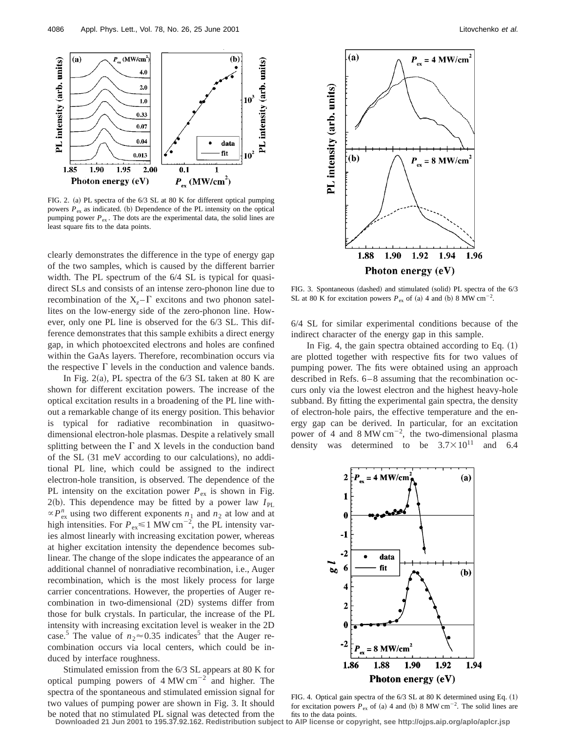

FIG. 2. (a) PL spectra of the 6/3 SL at 80 K for different optical pumping powers  $P_{ex}$  as indicated. (b) Dependence of the PL intensity on the optical pumping power  $P_{ex}$ . The dots are the experimental data, the solid lines are least square fits to the data points.

clearly demonstrates the difference in the type of energy gap of the two samples, which is caused by the different barrier width. The PL spectrum of the 6/4 SL is typical for quasidirect SLs and consists of an intense zero-phonon line due to recombination of the  $X_z - \Gamma$  excitons and two phonon satellites on the low-energy side of the zero-phonon line. However, only one PL line is observed for the 6/3 SL. This difference demonstrates that this sample exhibits a direct energy gap, in which photoexcited electrons and holes are confined within the GaAs layers. Therefore, recombination occurs via the respective  $\Gamma$  levels in the conduction and valence bands.

In Fig. 2(a), PL spectra of the  $6/3$  SL taken at 80 K are shown for different excitation powers. The increase of the optical excitation results in a broadening of the PL line without a remarkable change of its energy position. This behavior is typical for radiative recombination in quasitwodimensional electron-hole plasmas. Despite a relatively small splitting between the  $\Gamma$  and X levels in the conduction band of the SL  $(31 \text{ meV according to our calculations})$ , no additional PL line, which could be assigned to the indirect electron-hole transition, is observed. The dependence of the PL intensity on the excitation power  $P_{ex}$  is shown in Fig. 2(b). This dependence may be fitted by a power law  $I_{PL}$  $\propto P_{\text{ex}}^n$  using two different exponents  $n_1$  and  $n_2$  at low and at high intensities. For  $P_{ex} \le 1$  MW cm<sup>-2</sup>, the PL intensity varies almost linearly with increasing excitation power, whereas at higher excitation intensity the dependence becomes sublinear. The change of the slope indicates the appearance of an additional channel of nonradiative recombination, i.e., Auger recombination, which is the most likely process for large carrier concentrations. However, the properties of Auger recombination in two-dimensional  $(2D)$  systems differ from those for bulk crystals. In particular, the increase of the PL intensity with increasing excitation level is weaker in the 2D case.<sup>5</sup> The value of  $n_2 \approx 0.35$  indicates<sup>5</sup> that the Auger recombination occurs via local centers, which could be induced by interface roughness.

Stimulated emission from the 6/3 SL appears at 80 K for optical pumping powers of  $4 \text{ MW cm}^{-2}$  and higher. The spectra of the spontaneous and stimulated emission signal for two values of pumping power are shown in Fig. 3. It should



FIG. 3. Spontaneous (dashed) and stimulated (solid) PL spectra of the 6/3 SL at 80 K for excitation powers  $P_{\text{ex}}$  of (a) 4 and (b) 8 MW cm<sup>-2</sup>.

6/4 SL for similar experimental conditions because of the indirect character of the energy gap in this sample.

In Fig. 4, the gain spectra obtained according to Eq.  $(1)$ are plotted together with respective fits for two values of pumping power. The fits were obtained using an approach described in Refs. 6–8 assuming that the recombination occurs only via the lowest electron and the highest heavy-hole subband. By fitting the experimental gain spectra, the density of electron-hole pairs, the effective temperature and the energy gap can be derived. In particular, for an excitation power of 4 and  $8 \text{ MW cm}^{-2}$ , the two-dimensional plasma density was determined to be  $3.7 \times 10^{11}$  and 6.4



FIG. 4. Optical gain spectra of the  $6/3$  SL at 80 K determined using Eq.  $(1)$ for excitation powers  $P_{\text{ex}}$  of (a) 4 and (b) 8 MW cm<sup>-2</sup>. The solid lines are

be noted that no stimulated PL signal was detected from the fits to the data points.<br>Downloaded 21 Jun 2001 to 195.37.92.162. Redistribution subject to AIP license or copyright, see http://ojps.aip.org/aplo/aplcr.jsp